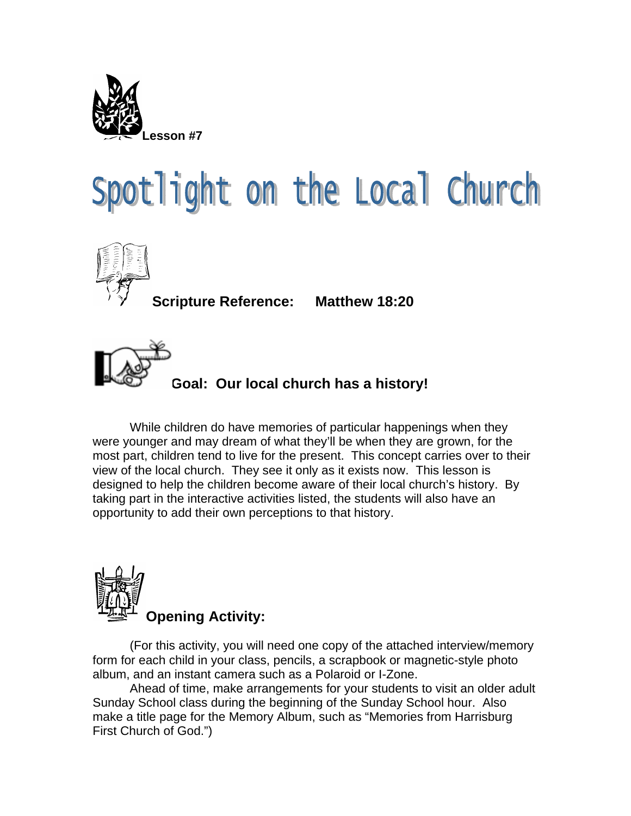

## Spotlight on the Local Church



**Scripture Reference: Matthew 18:20** 



**Goal: Our local church has a history!**

While children do have memories of particular happenings when they were younger and may dream of what they'll be when they are grown, for the most part, children tend to live for the present. This concept carries over to their view of the local church. They see it only as it exists now. This lesson is designed to help the children become aware of their local church's history. By taking part in the interactive activities listed, the students will also have an opportunity to add their own perceptions to that history.



(For this activity, you will need one copy of the attached interview/memory form for each child in your class, pencils, a scrapbook or magnetic-style photo album, and an instant camera such as a Polaroid or I-Zone.

Ahead of time, make arrangements for your students to visit an older adult Sunday School class during the beginning of the Sunday School hour. Also make a title page for the Memory Album, such as "Memories from Harrisburg First Church of God.")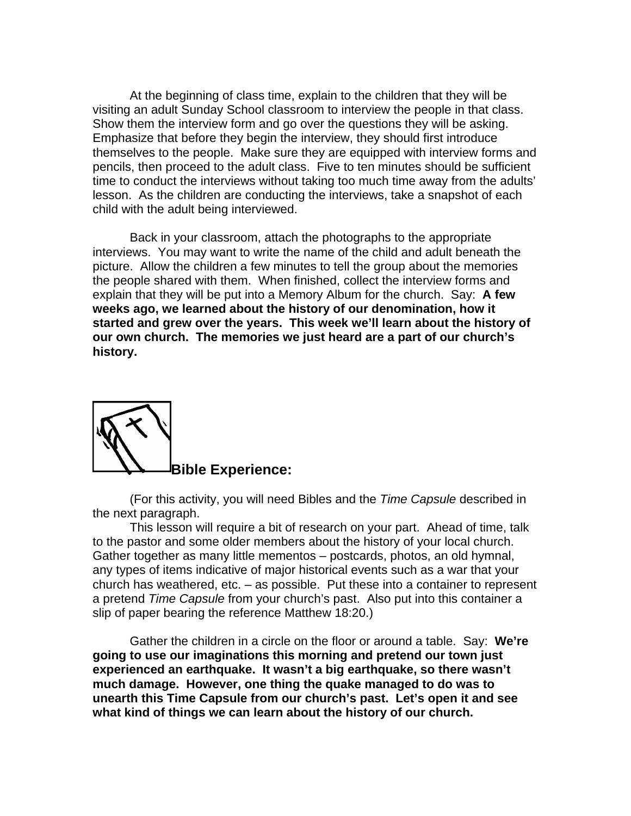At the beginning of class time, explain to the children that they will be visiting an adult Sunday School classroom to interview the people in that class. Show them the interview form and go over the questions they will be asking. Emphasize that before they begin the interview, they should first introduce themselves to the people. Make sure they are equipped with interview forms and pencils, then proceed to the adult class. Five to ten minutes should be sufficient time to conduct the interviews without taking too much time away from the adults' lesson. As the children are conducting the interviews, take a snapshot of each child with the adult being interviewed.

Back in your classroom, attach the photographs to the appropriate interviews. You may want to write the name of the child and adult beneath the picture. Allow the children a few minutes to tell the group about the memories the people shared with them. When finished, collect the interview forms and explain that they will be put into a Memory Album for the church. Say: **A few weeks ago, we learned about the history of our denomination, how it started and grew over the years. This week we'll learn about the history of our own church. The memories we just heard are a part of our church's history.**



(For this activity, you will need Bibles and the *Time Capsule* described in the next paragraph.

This lesson will require a bit of research on your part. Ahead of time, talk to the pastor and some older members about the history of your local church. Gather together as many little mementos – postcards, photos, an old hymnal, any types of items indicative of major historical events such as a war that your church has weathered, etc. – as possible. Put these into a container to represent a pretend *Time Capsule* from your church's past. Also put into this container a slip of paper bearing the reference Matthew 18:20.)

Gather the children in a circle on the floor or around a table. Say: **We're going to use our imaginations this morning and pretend our town just experienced an earthquake. It wasn't a big earthquake, so there wasn't much damage. However, one thing the quake managed to do was to unearth this Time Capsule from our church's past. Let's open it and see what kind of things we can learn about the history of our church.**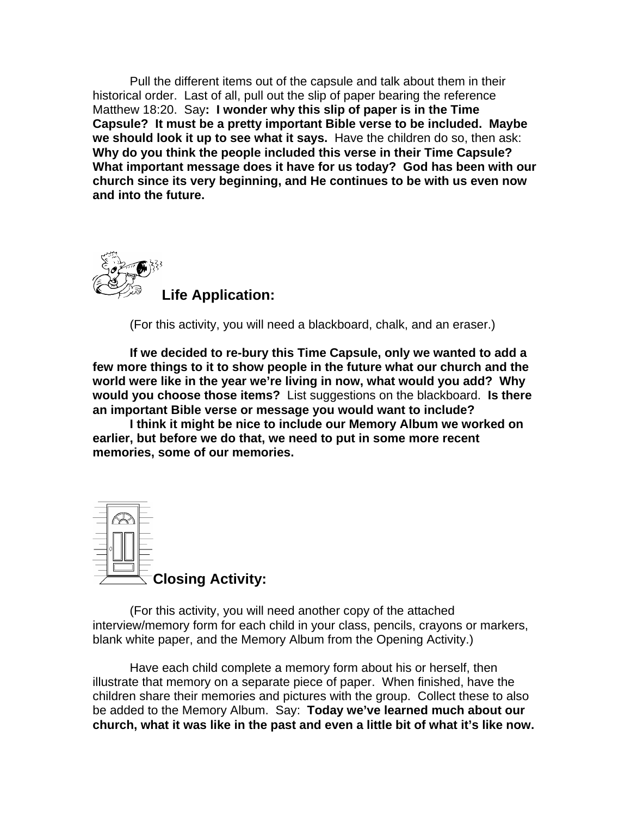Pull the different items out of the capsule and talk about them in their historical order. Last of all, pull out the slip of paper bearing the reference Matthew 18:20. Say**: I wonder why this slip of paper is in the Time Capsule? It must be a pretty important Bible verse to be included. Maybe we should look it up to see what it says.** Have the children do so, then ask: **Why do you think the people included this verse in their Time Capsule? What important message does it have for us today? God has been with our church since its very beginning, and He continues to be with us even now and into the future.** 



(For this activity, you will need a blackboard, chalk, and an eraser.)

**If we decided to re-bury this Time Capsule, only we wanted to add a few more things to it to show people in the future what our church and the world were like in the year we're living in now, what would you add? Why would you choose those items?** List suggestions on the blackboard. **Is there an important Bible verse or message you would want to include?** 

**I think it might be nice to include our Memory Album we worked on earlier, but before we do that, we need to put in some more recent memories, some of our memories.** 



(For this activity, you will need another copy of the attached interview/memory form for each child in your class, pencils, crayons or markers, blank white paper, and the Memory Album from the Opening Activity.)

Have each child complete a memory form about his or herself, then illustrate that memory on a separate piece of paper. When finished, have the children share their memories and pictures with the group. Collect these to also be added to the Memory Album. Say: **Today we've learned much about our church, what it was like in the past and even a little bit of what it's like now.**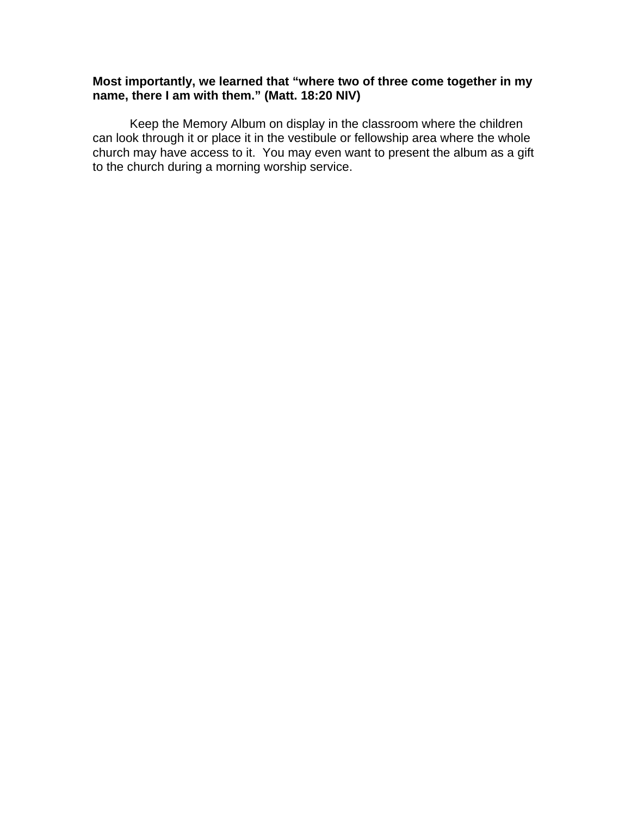## **Most importantly, we learned that "where two of three come together in my name, there I am with them." (Matt. 18:20 NIV)**

 Keep the Memory Album on display in the classroom where the children can look through it or place it in the vestibule or fellowship area where the whole church may have access to it. You may even want to present the album as a gift to the church during a morning worship service.